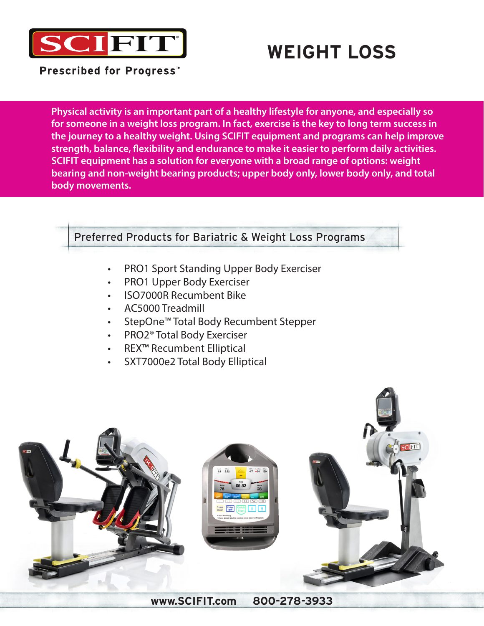

# **WEIGHT LOSS**

**Prescribed for Progress™** 

**Physical activity is an important part of a healthy lifestyle for anyone, and especially so for someone in a weight loss program. In fact, exercise is the key to long term success in the journey to a healthy weight. Using SCIFIT equipment and programs can help improve strength, balance, flexibility and endurance to make it easier to perform daily activities. SCIFIT equipment has a solution for everyone with a broad range of options: weight bearing and non-weight bearing products; upper body only, lower body only, and total body movements.**

## Preferred Products for Bariatric & Weight Loss Programs

- PRO1 Sport Standing Upper Body Exerciser
- PRO1 Upper Body Exerciser
- ISO7000R Recumbent Bike
- AC5000 Treadmill
- StepOne™ Total Body Recumbent Stepper
- PRO2® Total Body Exerciser
- REX™ Recumbent Elliptical
- SXT7000e2 Total Body Elliptical